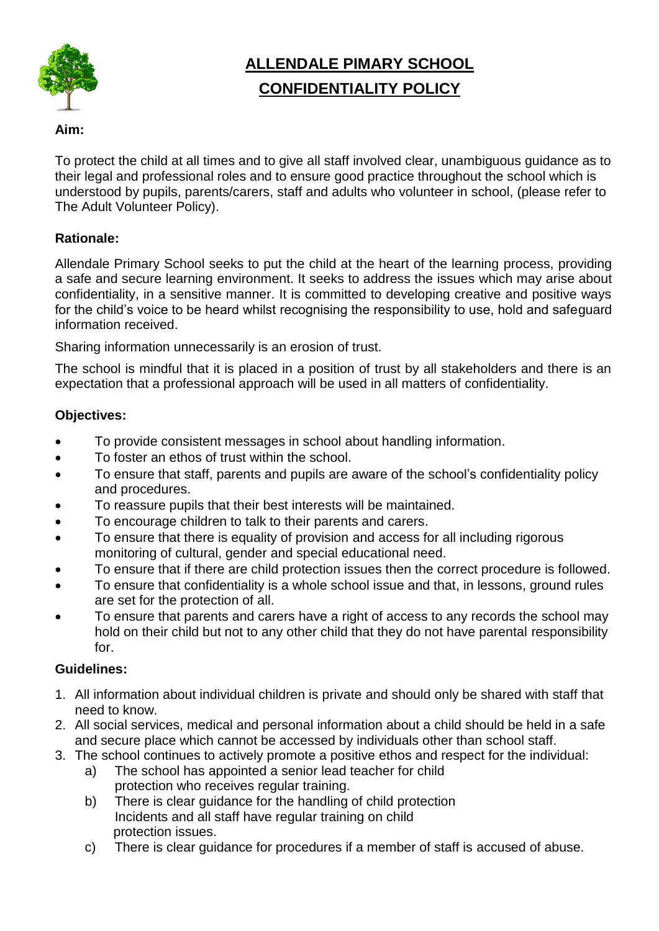

# **ALLENDALE PIMARY SCHOOL CONFIDENTIALITY POLICY**

### **Aim:**

To protect the child at all times and to give all staff involved clear, unambiguous guidance as to their legal and professional roles and to ensure good practice throughout the school which is understood by pupils, parents/carers, staff and adults who volunteer in school, (please refer to The Adult Volunteer Policy).

### **Rationale:**

Allendale Primary School seeks to put the child at the heart of the learning process, providing a safe and secure learning environment. It seeks to address the issues which may arise about confidentiality, in a sensitive manner. It is committed to developing creative and positive ways for the child's voice to be heard whilst recognising the responsibility to use, hold and safeguard information received.

Sharing information unnecessarily is an erosion of trust.

The school is mindful that it is placed in a position of trust by all stakeholders and there is an expectation that a professional approach will be used in all matters of confidentiality.

### **Objectives:**

- To provide consistent messages in school about handling information.
- To foster an ethos of trust within the school.
- To ensure that staff, parents and pupils are aware of the school's confidentiality policy and procedures.
- To reassure pupils that their best interests will be maintained.
- To encourage children to talk to their parents and carers.
- To ensure that there is equality of provision and access for all including rigorous monitoring of cultural, gender and special educational need.
- To ensure that if there are child protection issues then the correct procedure is followed.
- To ensure that confidentiality is a whole school issue and that, in lessons, ground rules are set for the protection of all.
- To ensure that parents and carers have a right of access to any records the school may hold on their child but not to any other child that they do not have parental responsibility for.

### **Guidelines:**

- 1. All information about individual children is private and should only be shared with staff that need to know.
- 2. All social services, medical and personal information about a child should be held in a safe and secure place which cannot be accessed by individuals other than school staff.
- 3. The school continues to actively promote a positive ethos and respect for the individual:
	- a) The school has appointed a senior lead teacher for child protection who receives regular training.
	- b) There is clear guidance for the handling of child protection Incidents and all staff have regular training on child protection issues.
	- c) There is clear guidance for procedures if a member of staff is accused of abuse.